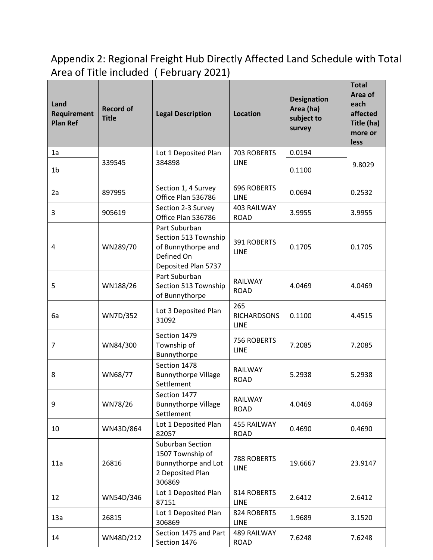Appendix 2: Regional Freight Hub Directly Affected Land Schedule with Total Area of Title included ( February 2021)

| Land<br>Requirement<br><b>Plan Ref</b> | <b>Record of</b><br><b>Title</b> | <b>Legal Description</b>                                                                         | <b>Location</b>                   | <b>Designation</b><br>Area (ha)<br>subject to<br>survey | <b>Total</b><br>Area of<br>each<br>affected<br>Title (ha)<br>more or<br>less |
|----------------------------------------|----------------------------------|--------------------------------------------------------------------------------------------------|-----------------------------------|---------------------------------------------------------|------------------------------------------------------------------------------|
| 1a                                     |                                  | Lot 1 Deposited Plan                                                                             | 703 ROBERTS                       | 0.0194                                                  |                                                                              |
| 1 <sub>b</sub>                         | 339545                           | 384898                                                                                           | <b>LINE</b>                       | 0.1100                                                  | 9.8029                                                                       |
| 2a                                     | 897995                           | Section 1, 4 Survey<br>Office Plan 536786                                                        | <b>696 ROBERTS</b><br>LINE        | 0.0694                                                  | 0.2532                                                                       |
| 3                                      | 905619                           | Section 2-3 Survey<br>Office Plan 536786                                                         | 403 RAILWAY<br><b>ROAD</b>        | 3.9955                                                  | 3.9955                                                                       |
| 4                                      | WN289/70                         | Part Suburban<br>Section 513 Township<br>of Bunnythorpe and<br>Defined On<br>Deposited Plan 5737 | <b>391 ROBERTS</b><br><b>LINE</b> | 0.1705                                                  | 0.1705                                                                       |
| 5                                      | WN188/26                         | Part Suburban<br>Section 513 Township<br>of Bunnythorpe                                          | RAILWAY<br><b>ROAD</b>            | 4.0469                                                  | 4.0469                                                                       |
| 6a                                     | WN7D/352                         | Lot 3 Deposited Plan<br>31092                                                                    | 265<br><b>RICHARDSONS</b><br>LINE | 0.1100                                                  | 4.4515                                                                       |
| 7                                      | WN84/300                         | Section 1479<br>Township of<br>Bunnythorpe                                                       | 756 ROBERTS<br><b>LINE</b>        | 7.2085                                                  | 7.2085                                                                       |
| 8                                      | WN68/77                          | Section 1478<br><b>Bunnythorpe Village</b><br>Settlement                                         | <b>RAILWAY</b><br><b>ROAD</b>     | 5.2938                                                  | 5.2938                                                                       |
| 9                                      | WN78/26                          | Section 1477<br><b>Bunnythorpe Village</b><br>Settlement                                         | RAILWAY<br><b>ROAD</b>            | 4.0469                                                  | 4.0469                                                                       |
| 10                                     | WN43D/864                        | Lot 1 Deposited Plan<br>82057                                                                    | 455 RAILWAY<br><b>ROAD</b>        | 0.4690                                                  | 0.4690                                                                       |
| 11a                                    | 26816                            | Suburban Section<br>1507 Township of<br>Bunnythorpe and Lot<br>2 Deposited Plan<br>306869        | 788 ROBERTS<br><b>LINE</b>        | 19.6667                                                 | 23.9147                                                                      |
| 12                                     | WN54D/346                        | Lot 1 Deposited Plan<br>87151                                                                    | 814 ROBERTS<br>LINE               | 2.6412                                                  | 2.6412                                                                       |
| 13a                                    | 26815                            | Lot 1 Deposited Plan<br>306869                                                                   | 824 ROBERTS<br>LINE               | 1.9689                                                  | 3.1520                                                                       |
| 14                                     | WN48D/212                        | Section 1475 and Part<br>Section 1476                                                            | 489 RAILWAY<br><b>ROAD</b>        | 7.6248                                                  | 7.6248                                                                       |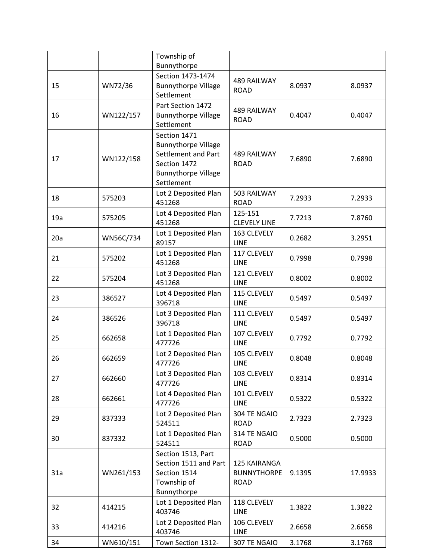|     |           | Township of<br>Bunnythorpe                                                                                                    |                                                   |        |         |
|-----|-----------|-------------------------------------------------------------------------------------------------------------------------------|---------------------------------------------------|--------|---------|
| 15  | WN72/36   | Section 1473-1474<br><b>Bunnythorpe Village</b><br>Settlement                                                                 | 489 RAILWAY<br><b>ROAD</b>                        | 8.0937 | 8.0937  |
| 16  | WN122/157 | Part Section 1472<br><b>Bunnythorpe Village</b><br>Settlement                                                                 | <b>489 RAILWAY</b><br><b>ROAD</b>                 | 0.4047 | 0.4047  |
| 17  | WN122/158 | Section 1471<br><b>Bunnythorpe Village</b><br>Settlement and Part<br>Section 1472<br><b>Bunnythorpe Village</b><br>Settlement | <b>489 RAILWAY</b><br><b>ROAD</b>                 | 7.6890 | 7.6890  |
| 18  | 575203    | Lot 2 Deposited Plan<br>451268                                                                                                | 503 RAILWAY<br><b>ROAD</b>                        | 7.2933 | 7.2933  |
| 19a | 575205    | Lot 4 Deposited Plan<br>451268                                                                                                | 125-151<br><b>CLEVELY LINE</b>                    | 7.7213 | 7.8760  |
| 20a | WN56C/734 | Lot 1 Deposited Plan<br>89157                                                                                                 | 163 CLEVELY<br><b>LINE</b>                        | 0.2682 | 3.2951  |
| 21  | 575202    | Lot 1 Deposited Plan<br>451268                                                                                                | 117 CLEVELY<br>LINE                               | 0.7998 | 0.7998  |
| 22  | 575204    | Lot 3 Deposited Plan<br>451268                                                                                                | 121 CLEVELY<br>LINE                               | 0.8002 | 0.8002  |
| 23  | 386527    | Lot 4 Deposited Plan<br>396718                                                                                                | 115 CLEVELY<br><b>LINE</b>                        | 0.5497 | 0.5497  |
| 24  | 386526    | Lot 3 Deposited Plan<br>396718                                                                                                | 111 CLEVELY<br>LINE                               | 0.5497 | 0.5497  |
| 25  | 662658    | Lot 1 Deposited Plan<br>477726                                                                                                | 107 CLEVELY<br><b>LINE</b>                        | 0.7792 | 0.7792  |
| 26  | 662659    | Lot 2 Deposited Plan<br>477726                                                                                                | 105 CLEVELY<br>LINE                               | 0.8048 | 0.8048  |
| 27  | 662660    | Lot 3 Deposited Plan<br>477726                                                                                                | 103 CLEVELY<br><b>LINE</b>                        | 0.8314 | 0.8314  |
| 28  | 662661    | Lot 4 Deposited Plan<br>477726                                                                                                | 101 CLEVELY<br><b>LINE</b>                        | 0.5322 | 0.5322  |
| 29  | 837333    | Lot 2 Deposited Plan<br>524511                                                                                                | 304 TE NGAIO<br><b>ROAD</b>                       | 2.7323 | 2.7323  |
| 30  | 837332    | Lot 1 Deposited Plan<br>524511                                                                                                | 314 TE NGAIO<br><b>ROAD</b>                       | 0.5000 | 0.5000  |
| 31a | WN261/153 | Section 1513, Part<br>Section 1511 and Part<br>Section 1514<br>Township of<br>Bunnythorpe                                     | 125 KAIRANGA<br><b>BUNNYTHORPE</b><br><b>ROAD</b> | 9.1395 | 17.9933 |
| 32  | 414215    | Lot 1 Deposited Plan<br>403746                                                                                                | 118 CLEVELY<br><b>LINE</b>                        | 1.3822 | 1.3822  |
| 33  | 414216    | Lot 2 Deposited Plan<br>403746                                                                                                | 106 CLEVELY<br><b>LINE</b>                        | 2.6658 | 2.6658  |
| 34  | WN610/151 | Town Section 1312-                                                                                                            | 307 TE NGAIO                                      | 3.1768 | 3.1768  |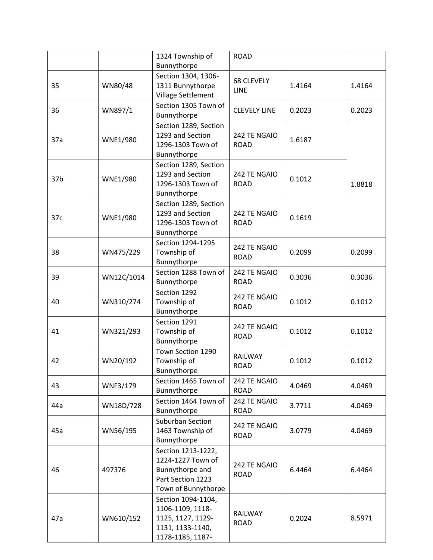|     |                 | 1324 Township of      | <b>ROAD</b>                      |        |        |
|-----|-----------------|-----------------------|----------------------------------|--------|--------|
|     |                 | Bunnythorpe           |                                  |        |        |
|     |                 | Section 1304, 1306-   |                                  |        |        |
| 35  | WN80/48         | 1311 Bunnythorpe      | <b>68 CLEVELY</b><br><b>LINE</b> | 1.4164 | 1.4164 |
|     |                 | Village Settlement    |                                  |        |        |
|     |                 | Section 1305 Town of  |                                  |        |        |
| 36  | WN897/1         | Bunnythorpe           | <b>CLEVELY LINE</b>              | 0.2023 | 0.2023 |
|     |                 | Section 1289, Section |                                  |        |        |
|     |                 | 1293 and Section      | 242 TE NGAIO                     |        |        |
| 37a | <b>WNE1/980</b> | 1296-1303 Town of     | <b>ROAD</b>                      | 1.6187 |        |
|     |                 | Bunnythorpe           |                                  |        |        |
|     |                 | Section 1289, Section |                                  |        |        |
|     |                 | 1293 and Section      | 242 TE NGAIO                     |        |        |
| 37b | <b>WNE1/980</b> | 1296-1303 Town of     | <b>ROAD</b>                      | 0.1012 | 1.8818 |
|     |                 | Bunnythorpe           |                                  |        |        |
|     |                 | Section 1289, Section |                                  |        |        |
|     |                 | 1293 and Section      | 242 TE NGAIO                     |        |        |
| 37c | <b>WNE1/980</b> | 1296-1303 Town of     | <b>ROAD</b>                      | 0.1619 |        |
|     |                 | Bunnythorpe           |                                  |        |        |
|     |                 | Section 1294-1295     | 242 TE NGAIO                     |        |        |
| 38  | WN475/229       | Township of           | <b>ROAD</b>                      | 0.2099 | 0.2099 |
|     |                 | Bunnythorpe           |                                  |        |        |
|     |                 | Section 1288 Town of  | 242 TE NGAIO                     | 0.3036 | 0.3036 |
| 39  | WN12C/1014      | Bunnythorpe           | <b>ROAD</b>                      |        |        |
|     |                 | Section 1292          | 242 TE NGAIO                     |        |        |
| 40  | WN310/274       | Township of           | <b>ROAD</b>                      | 0.1012 | 0.1012 |
|     |                 | Bunnythorpe           |                                  |        |        |
|     |                 | Section 1291          | 242 TE NGAIO                     |        |        |
| 41  | WN321/293       | Township of           | <b>ROAD</b>                      | 0.1012 | 0.1012 |
|     |                 | Bunnythorpe           |                                  |        |        |
|     |                 | Town Section 1290     | <b>RAILWAY</b>                   |        |        |
| 42  | WN20/192        | Township of           | <b>ROAD</b>                      | 0.1012 | 0.1012 |
|     |                 | Bunnythorpe           |                                  |        |        |
| 43  | WNF3/179        | Section 1465 Town of  | 242 TE NGAIO                     | 4.0469 | 4.0469 |
|     |                 | Bunnythorpe           | <b>ROAD</b>                      |        |        |
| 44a | WN18D/728       | Section 1464 Town of  | 242 TE NGAIO                     | 3.7711 | 4.0469 |
|     |                 | Bunnythorpe           | <b>ROAD</b>                      |        |        |
|     |                 | Suburban Section      | 242 TE NGAIO                     |        |        |
| 45a | WN56/195        | 1463 Township of      | <b>ROAD</b>                      | 3.0779 | 4.0469 |
|     |                 | Bunnythorpe           |                                  |        |        |
| 46  | 497376          | Section 1213-1222,    | 242 TE NGAIO<br><b>ROAD</b>      | 6.4464 | 6.4464 |
|     |                 | 1224-1227 Town of     |                                  |        |        |
|     |                 | Bunnythorpe and       |                                  |        |        |
|     |                 | Part Section 1223     |                                  |        |        |
|     |                 | Town of Bunnythorpe   |                                  |        |        |
|     |                 | Section 1094-1104,    |                                  |        |        |
| 47a | WN610/152       | 1106-1109, 1118-      | RAILWAY<br><b>ROAD</b>           | 0.2024 | 8.5971 |
|     |                 | 1125, 1127, 1129-     |                                  |        |        |
|     |                 | 1131, 1133-1140,      |                                  |        |        |
|     |                 | 1178-1185, 1187-      |                                  |        |        |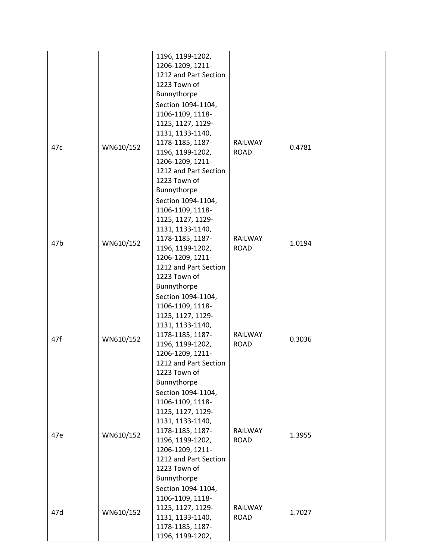|     |           | 1196, 1199-1202,      |             |        |
|-----|-----------|-----------------------|-------------|--------|
|     |           | 1206-1209, 1211-      |             |        |
|     |           | 1212 and Part Section |             |        |
|     |           | 1223 Town of          |             |        |
|     |           | Bunnythorpe           |             |        |
|     |           | Section 1094-1104,    |             |        |
|     |           | 1106-1109, 1118-      |             |        |
|     |           | 1125, 1127, 1129-     |             |        |
|     |           | 1131, 1133-1140,      |             |        |
|     |           | 1178-1185, 1187-      | RAILWAY     |        |
| 47c | WN610/152 | 1196, 1199-1202,      | <b>ROAD</b> | 0.4781 |
|     |           | 1206-1209, 1211-      |             |        |
|     |           | 1212 and Part Section |             |        |
|     |           | 1223 Town of          |             |        |
|     |           | Bunnythorpe           |             |        |
|     |           | Section 1094-1104,    |             |        |
|     |           | 1106-1109, 1118-      |             |        |
|     |           | 1125, 1127, 1129-     |             |        |
|     |           | 1131, 1133-1140,      |             |        |
|     |           | 1178-1185, 1187-      | RAILWAY     |        |
| 47b | WN610/152 | 1196, 1199-1202,      | <b>ROAD</b> | 1.0194 |
|     |           | 1206-1209, 1211-      |             |        |
|     |           | 1212 and Part Section |             |        |
|     |           | 1223 Town of          |             |        |
|     |           | Bunnythorpe           |             |        |
|     |           | Section 1094-1104,    |             |        |
|     |           | 1106-1109, 1118-      |             |        |
|     |           | 1125, 1127, 1129-     |             |        |
|     |           | 1131, 1133-1140,      |             |        |
|     |           | 1178-1185, 1187-      | RAILWAY     |        |
| 47f | WN610/152 | 1196, 1199-1202,      | <b>ROAD</b> | 0.3036 |
|     |           | 1206-1209, 1211-      |             |        |
|     |           | 1212 and Part Section |             |        |
|     |           | 1223 Town of          |             |        |
|     |           | Bunnythorpe           |             |        |
|     |           | Section 1094-1104,    |             |        |
|     |           | 1106-1109, 1118-      |             |        |
|     |           | 1125, 1127, 1129-     |             |        |
|     |           | 1131, 1133-1140,      |             |        |
|     |           | 1178-1185, 1187-      | RAILWAY     |        |
| 47e | WN610/152 | 1196, 1199-1202,      | <b>ROAD</b> | 1.3955 |
|     |           | 1206-1209, 1211-      |             |        |
|     |           | 1212 and Part Section |             |        |
|     |           | 1223 Town of          |             |        |
|     |           |                       |             |        |
|     |           | Bunnythorpe           |             |        |
|     |           | Section 1094-1104,    |             |        |
|     | WN610/152 | 1106-1109, 1118-      |             |        |
| 47d |           | 1125, 1127, 1129-     | RAILWAY     | 1.7027 |
|     |           | 1131, 1133-1140,      | <b>ROAD</b> |        |
|     |           | 1178-1185, 1187-      |             |        |
|     |           | 1196, 1199-1202,      |             |        |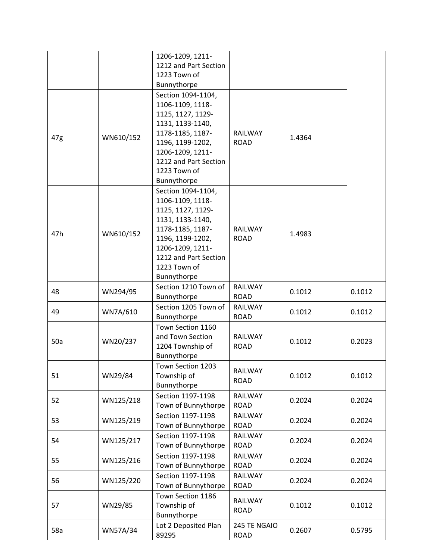|     |           | 1206-1209, 1211-                                                                                                                                                                                    |                             |        |        |
|-----|-----------|-----------------------------------------------------------------------------------------------------------------------------------------------------------------------------------------------------|-----------------------------|--------|--------|
|     |           | 1212 and Part Section                                                                                                                                                                               |                             |        |        |
|     |           | 1223 Town of                                                                                                                                                                                        |                             |        |        |
|     |           | Bunnythorpe                                                                                                                                                                                         |                             |        |        |
| 47g | WN610/152 | Section 1094-1104,<br>1106-1109, 1118-<br>1125, 1127, 1129-<br>1131, 1133-1140,<br>1178-1185, 1187-<br>1196, 1199-1202,<br>1206-1209, 1211-                                                         | RAILWAY<br><b>ROAD</b>      | 1.4364 |        |
|     |           | 1212 and Part Section<br>1223 Town of<br>Bunnythorpe                                                                                                                                                |                             |        |        |
| 47h | WN610/152 | Section 1094-1104,<br>1106-1109, 1118-<br>1125, 1127, 1129-<br>1131, 1133-1140,<br>1178-1185, 1187-<br>1196, 1199-1202,<br>1206-1209, 1211-<br>1212 and Part Section<br>1223 Town of<br>Bunnythorpe | RAILWAY<br><b>ROAD</b>      | 1.4983 |        |
| 48  | WN294/95  | Section 1210 Town of<br>Bunnythorpe                                                                                                                                                                 | RAILWAY<br><b>ROAD</b>      | 0.1012 | 0.1012 |
| 49  | WN7A/610  | Section 1205 Town of<br>Bunnythorpe                                                                                                                                                                 | RAILWAY<br><b>ROAD</b>      | 0.1012 | 0.1012 |
| 50a | WN20/237  | Town Section 1160<br>and Town Section<br>1204 Township of<br>Bunnythorpe                                                                                                                            | RAILWAY<br><b>ROAD</b>      | 0.1012 | 0.2023 |
| 51  | WN29/84   | Town Section 1203<br>Township of<br>Bunnythorpe                                                                                                                                                     | RAILWAY<br><b>ROAD</b>      | 0.1012 | 0.1012 |
| 52  | WN125/218 | Section 1197-1198<br>Town of Bunnythorpe                                                                                                                                                            | RAILWAY<br><b>ROAD</b>      | 0.2024 | 0.2024 |
| 53  | WN125/219 | Section 1197-1198<br>Town of Bunnythorpe                                                                                                                                                            | RAILWAY<br><b>ROAD</b>      | 0.2024 | 0.2024 |
| 54  | WN125/217 | Section 1197-1198<br>Town of Bunnythorpe                                                                                                                                                            | RAILWAY<br>ROAD             | 0.2024 | 0.2024 |
| 55  | WN125/216 | Section 1197-1198<br>Town of Bunnythorpe                                                                                                                                                            | RAILWAY<br><b>ROAD</b>      | 0.2024 | 0.2024 |
| 56  | WN125/220 | Section 1197-1198<br>Town of Bunnythorpe                                                                                                                                                            | RAILWAY<br><b>ROAD</b>      | 0.2024 | 0.2024 |
| 57  | WN29/85   | Town Section 1186<br>Township of<br>Bunnythorpe                                                                                                                                                     | RAILWAY<br><b>ROAD</b>      | 0.1012 | 0.1012 |
| 58a | WN57A/34  | Lot 2 Deposited Plan<br>89295                                                                                                                                                                       | 245 TE NGAIO<br><b>ROAD</b> | 0.2607 | 0.5795 |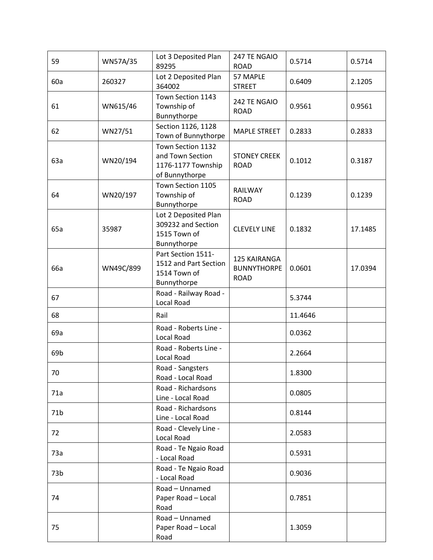| 59  | WN57A/35  | Lot 3 Deposited Plan<br>89295                                                 | 247 TE NGAIO<br><b>ROAD</b>                       | 0.5714  | 0.5714  |
|-----|-----------|-------------------------------------------------------------------------------|---------------------------------------------------|---------|---------|
| 60a | 260327    | Lot 2 Deposited Plan<br>364002                                                | 57 MAPLE<br><b>STREET</b>                         | 0.6409  | 2.1205  |
| 61  | WN615/46  | Town Section 1143<br>Township of<br>Bunnythorpe                               | 242 TE NGAIO<br><b>ROAD</b>                       | 0.9561  | 0.9561  |
| 62  | WN27/51   | Section 1126, 1128<br>Town of Bunnythorpe                                     | <b>MAPLE STREET</b>                               | 0.2833  | 0.2833  |
| 63a | WN20/194  | Town Section 1132<br>and Town Section<br>1176-1177 Township<br>of Bunnythorpe | <b>STONEY CREEK</b><br><b>ROAD</b>                | 0.1012  | 0.3187  |
| 64  | WN20/197  | Town Section 1105<br>Township of<br>Bunnythorpe                               | RAILWAY<br><b>ROAD</b>                            | 0.1239  | 0.1239  |
| 65a | 35987     | Lot 2 Deposited Plan<br>309232 and Section<br>1515 Town of<br>Bunnythorpe     | <b>CLEVELY LINE</b>                               | 0.1832  | 17.1485 |
| 66a | WN49C/899 | Part Section 1511-<br>1512 and Part Section<br>1514 Town of<br>Bunnythorpe    | 125 KAIRANGA<br><b>BUNNYTHORPE</b><br><b>ROAD</b> | 0.0601  | 17.0394 |
| 67  |           | Road - Railway Road -<br>Local Road                                           |                                                   | 5.3744  |         |
| 68  |           | Rail                                                                          |                                                   | 11.4646 |         |
| 69a |           | Road - Roberts Line -<br><b>Local Road</b>                                    |                                                   | 0.0362  |         |
| 69b |           | Road - Roberts Line -<br>Local Road                                           |                                                   | 2.2664  |         |
| 70  |           | Road - Sangsters<br>Road - Local Road                                         |                                                   | 1.8300  |         |
| 71a |           | Road - Richardsons<br>Line - Local Road                                       |                                                   | 0.0805  |         |
| 71b |           | Road - Richardsons<br>Line - Local Road                                       |                                                   | 0.8144  |         |
| 72  |           | Road - Clevely Line -<br><b>Local Road</b>                                    |                                                   | 2.0583  |         |
| 73a |           | Road - Te Ngaio Road<br>- Local Road                                          |                                                   | 0.5931  |         |
| 73b |           | Road - Te Ngaio Road<br>- Local Road                                          |                                                   | 0.9036  |         |
| 74  |           | Road - Unnamed<br>Paper Road - Local<br>Road                                  |                                                   | 0.7851  |         |
| 75  |           | Road - Unnamed<br>Paper Road - Local<br>Road                                  |                                                   | 1.3059  |         |